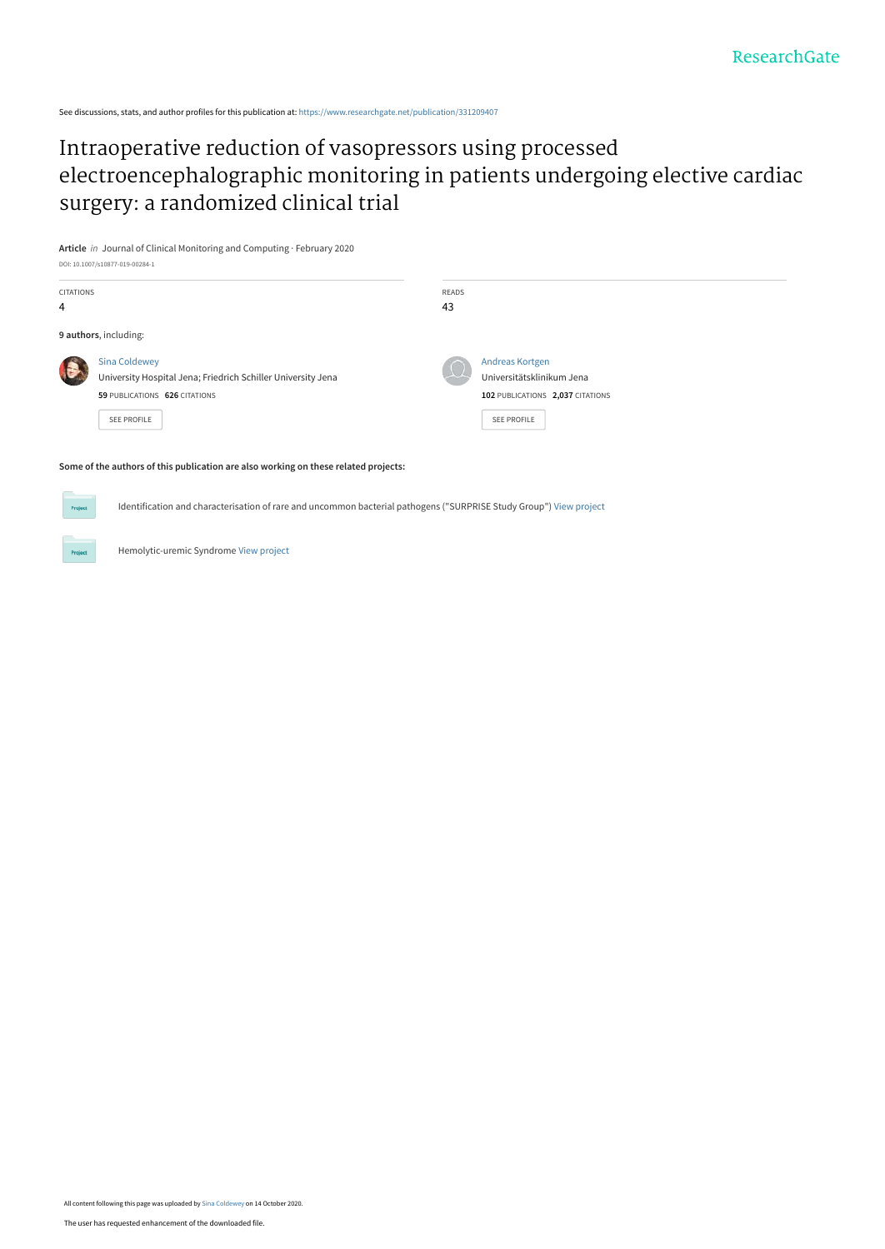See discussions, stats, and author profiles for this publication at: [https://www.researchgate.net/publication/331209407](https://www.researchgate.net/publication/331209407_Intraoperative_reduction_of_vasopressors_using_processed_electroencephalographic_monitoring_in_patients_undergoing_elective_cardiac_surgery_a_randomized_clinical_trial?enrichId=rgreq-a218ebfc27893dc5706e9985c361d214-XXX&enrichSource=Y292ZXJQYWdlOzMzMTIwOTQwNztBUzo5NDY1NzYzMzE2NTMxMjdAMTYwMjY5Mjc5MjgxNA%3D%3D&el=1_x_2&_esc=publicationCoverPdf)

# Intraoperative reduction of vasopressors using processed [electroencephalographic monitoring in patients undergoing elective cardiac](https://www.researchgate.net/publication/331209407_Intraoperative_reduction_of_vasopressors_using_processed_electroencephalographic_monitoring_in_patients_undergoing_elective_cardiac_surgery_a_randomized_clinical_trial?enrichId=rgreq-a218ebfc27893dc5706e9985c361d214-XXX&enrichSource=Y292ZXJQYWdlOzMzMTIwOTQwNztBUzo5NDY1NzYzMzE2NTMxMjdAMTYwMjY5Mjc5MjgxNA%3D%3D&el=1_x_3&_esc=publicationCoverPdf) surgery: a randomized clinical trial

**Article** in Journal of Clinical Monitoring and Computing · February 2020 DOI: 10.1007/s10877-019-00284-1

| <b>CITATIONS</b> |                                                                                      | READS |                                                        |
|------------------|--------------------------------------------------------------------------------------|-------|--------------------------------------------------------|
| 4                |                                                                                      | 43    |                                                        |
|                  | 9 authors, including:                                                                |       |                                                        |
| 1                | <b>Sina Coldewey</b><br>University Hospital Jena; Friedrich Schiller University Jena |       | Andreas Kortgen<br>Universitätsklinikum Jena           |
|                  | 59 PUBLICATIONS 626 CITATIONS<br><b>SEE PROFILE</b>                                  |       | 102 PUBLICATIONS 2,037 CITATIONS<br><b>SEE PROFILE</b> |

#### **Some of the authors of this publication are also working on these related projects:**

Identification and characterisation of rare and uncommon bacterial pathogens ("SURPRISE Study Group") [View project](https://www.researchgate.net/project/Identification-and-characterisation-of-rare-and-uncommon-bacterial-pathogens-SURPRISE-Study-Group?enrichId=rgreq-a218ebfc27893dc5706e9985c361d214-XXX&enrichSource=Y292ZXJQYWdlOzMzMTIwOTQwNztBUzo5NDY1NzYzMzE2NTMxMjdAMTYwMjY5Mjc5MjgxNA%3D%3D&el=1_x_9&_esc=publicationCoverPdf)

Hemolytic-uremic Syndrome [View project](https://www.researchgate.net/project/Hemolytic-uremic-Syndrome?enrichId=rgreq-a218ebfc27893dc5706e9985c361d214-XXX&enrichSource=Y292ZXJQYWdlOzMzMTIwOTQwNztBUzo5NDY1NzYzMzE2NTMxMjdAMTYwMjY5Mjc5MjgxNA%3D%3D&el=1_x_9&_esc=publicationCoverPdf)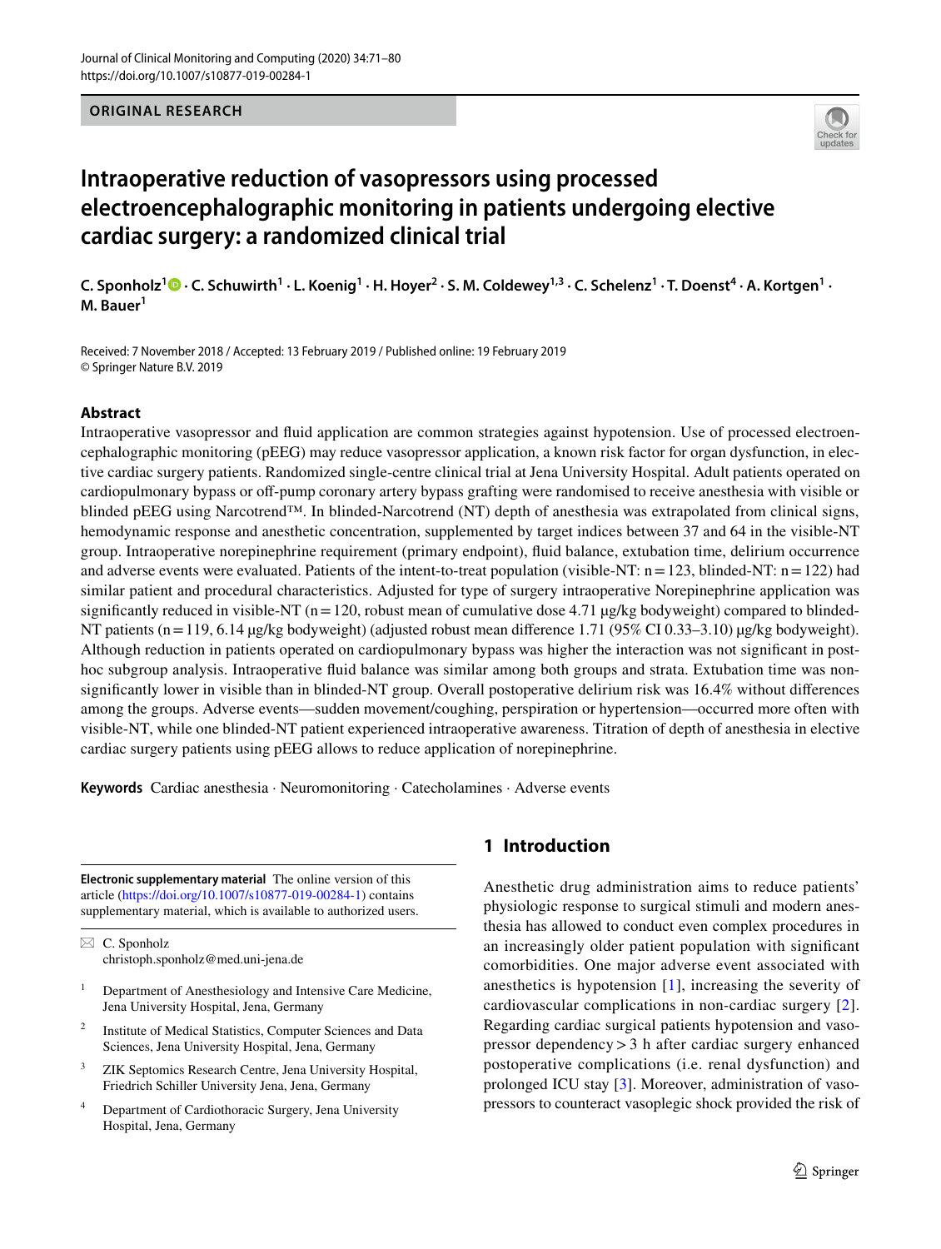# **ORIGINAL RESEARCH**



# **Intraoperative reduction of vasopressors using processed electroencephalographic monitoring in patients undergoing elective cardiac surgery: a randomized clinical trial**

 $C.$  Sponholz $^{1}$   $\bullet$   $\cdot$  C. Schuwirth $^{1}$   $\cdot$  L. Koenig $^{1}$   $\cdot$  H. Hoyer $^{2}$   $\cdot$  S. M. Coldewey $^{1,3}$   $\cdot$  C. Schelenz $^{1}$   $\cdot$  T. Doenst $^{4}$   $\cdot$  A. Kortgen $^{1}$   $\cdot$ **M. Bauer1**

Received: 7 November 2018 / Accepted: 13 February 2019 / Published online: 19 February 2019 © Springer Nature B.V. 2019

# **Abstract**

Intraoperative vasopressor and fuid application are common strategies against hypotension. Use of processed electroencephalographic monitoring (pEEG) may reduce vasopressor application, a known risk factor for organ dysfunction, in elective cardiac surgery patients. Randomized single-centre clinical trial at Jena University Hospital. Adult patients operated on cardiopulmonary bypass or of-pump coronary artery bypass grafting were randomised to receive anesthesia with visible or blinded pEEG using Narcotrend™. In blinded-Narcotrend (NT) depth of anesthesia was extrapolated from clinical signs, hemodynamic response and anesthetic concentration, supplemented by target indices between 37 and 64 in the visible-NT group. Intraoperative norepinephrine requirement (primary endpoint), fuid balance, extubation time, delirium occurrence and adverse events were evaluated. Patients of the intent-to-treat population (visible-NT:  $n = 123$ , blinded-NT:  $n = 122$ ) had similar patient and procedural characteristics. Adjusted for type of surgery intraoperative Norepinephrine application was significantly reduced in visible-NT ( $n=120$ , robust mean of cumulative dose 4.71  $\mu$ g/kg bodyweight) compared to blinded-NT patients (n=119, 6.14 µg/kg bodyweight) (adjusted robust mean difference 1.71 (95% CI 0.33–3.10) µg/kg bodyweight). Although reduction in patients operated on cardiopulmonary bypass was higher the interaction was not signifcant in posthoc subgroup analysis. Intraoperative fuid balance was similar among both groups and strata. Extubation time was nonsignifcantly lower in visible than in blinded-NT group. Overall postoperative delirium risk was 16.4% without diferences among the groups. Adverse events—sudden movement/coughing, perspiration or hypertension—occurred more often with visible-NT, while one blinded-NT patient experienced intraoperative awareness. Titration of depth of anesthesia in elective cardiac surgery patients using pEEG allows to reduce application of norepinephrine.

**Keywords** Cardiac anesthesia · Neuromonitoring · Catecholamines · Adverse events

**Electronic supplementary material** The online version of this article [\(https://doi.org/10.1007/s10877-019-00284-1\)](https://doi.org/10.1007/s10877-019-00284-1) contains supplementary material, which is available to authorized users.

 $\boxtimes$  C. Sponholz christoph.sponholz@med.uni-jena.de

- <sup>1</sup> Department of Anesthesiology and Intensive Care Medicine, Jena University Hospital, Jena, Germany
- <sup>2</sup> Institute of Medical Statistics, Computer Sciences and Data Sciences, Jena University Hospital, Jena, Germany
- <sup>3</sup> ZIK Septomics Research Centre, Jena University Hospital, Friedrich Schiller University Jena, Jena, Germany
- <sup>4</sup> Department of Cardiothoracic Surgery, Jena University Hospital, Jena, Germany

# **1 Introduction**

Anesthetic drug administration aims to reduce patients' physiologic response to surgical stimuli and modern anesthesia has allowed to conduct even complex procedures in an increasingly older patient population with signifcant comorbidities. One major adverse event associated with anesthetics is hypotension [[1\]](#page-9-0), increasing the severity of cardiovascular complications in non-cardiac surgery [[2](#page-9-1)]. Regarding cardiac surgical patients hypotension and vasopressor dependency>3 h after cardiac surgery enhanced postoperative complications (i.e. renal dysfunction) and prolonged ICU stay [\[3](#page-9-2)]. Moreover, administration of vasopressors to counteract vasoplegic shock provided the risk of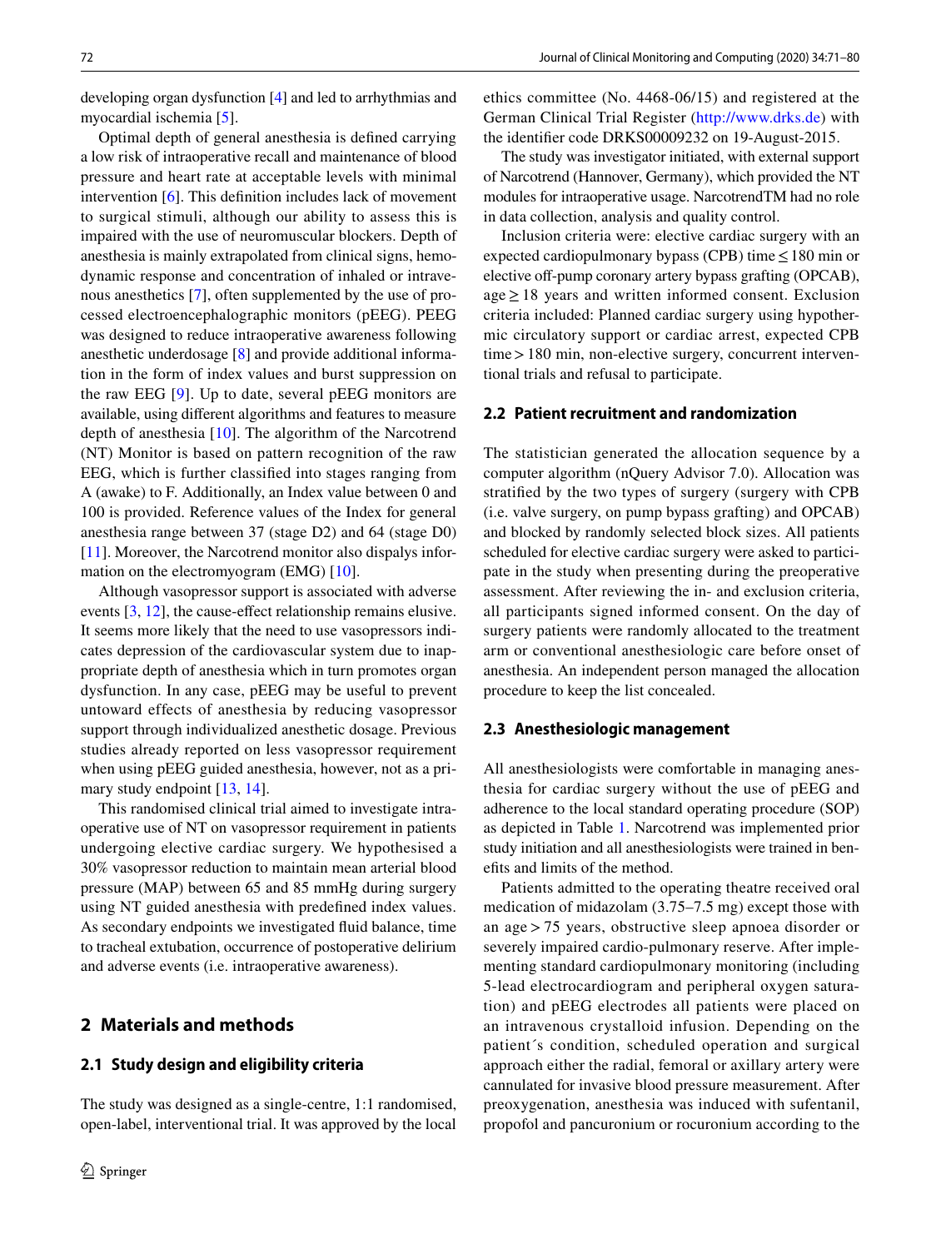developing organ dysfunction [[4\]](#page-10-0) and led to arrhythmias and myocardial ischemia [\[5](#page-10-1)].

Optimal depth of general anesthesia is defned carrying a low risk of intraoperative recall and maintenance of blood pressure and heart rate at acceptable levels with minimal intervention [[6\]](#page-10-2). This defnition includes lack of movement to surgical stimuli, although our ability to assess this is impaired with the use of neuromuscular blockers. Depth of anesthesia is mainly extrapolated from clinical signs, hemodynamic response and concentration of inhaled or intravenous anesthetics [[7\]](#page-10-3), often supplemented by the use of processed electroencephalographic monitors (pEEG). PEEG was designed to reduce intraoperative awareness following anesthetic underdosage [\[8](#page-10-4)] and provide additional information in the form of index values and burst suppression on the raw EEG [[9\]](#page-10-5). Up to date, several pEEG monitors are available, using diferent algorithms and features to measure depth of anesthesia [\[10](#page-10-6)]. The algorithm of the Narcotrend (NT) Monitor is based on pattern recognition of the raw EEG, which is further classifed into stages ranging from A (awake) to F. Additionally, an Index value between 0 and 100 is provided. Reference values of the Index for general anesthesia range between 37 (stage D2) and 64 (stage D0) [\[11](#page-10-7)]. Moreover, the Narcotrend monitor also dispalys information on the electromyogram (EMG) [\[10](#page-10-6)].

Although vasopressor support is associated with adverse events [[3,](#page-9-2) [12\]](#page-10-8), the cause-efect relationship remains elusive. It seems more likely that the need to use vasopressors indicates depression of the cardiovascular system due to inappropriate depth of anesthesia which in turn promotes organ dysfunction. In any case, pEEG may be useful to prevent untoward effects of anesthesia by reducing vasopressor support through individualized anesthetic dosage. Previous studies already reported on less vasopressor requirement when using pEEG guided anesthesia, however, not as a primary study endpoint [[13,](#page-10-9) [14](#page-10-10)].

This randomised clinical trial aimed to investigate intraoperative use of NT on vasopressor requirement in patients undergoing elective cardiac surgery. We hypothesised a 30% vasopressor reduction to maintain mean arterial blood pressure (MAP) between 65 and 85 mmHg during surgery using NT guided anesthesia with predefned index values. As secondary endpoints we investigated fuid balance, time to tracheal extubation, occurrence of postoperative delirium and adverse events (i.e. intraoperative awareness).

# **2 Materials and methods**

## **2.1 Study design and eligibility criteria**

The study was designed as a single-centre, 1:1 randomised, open-label, interventional trial. It was approved by the local ethics committee (No. 4468-06/15) and registered at the German Clinical Trial Register ([http://www.drks.de\)](http://www.drks.de) with the identifer code DRKS00009232 on 19-August-2015.

The study was investigator initiated, with external support of Narcotrend (Hannover, Germany), which provided the NT modules for intraoperative usage. NarcotrendTM had no role in data collection, analysis and quality control.

Inclusion criteria were: elective cardiac surgery with an expected cardiopulmonary bypass (CPB) time≤180 min or elective off-pump coronary artery bypass grafting (OPCAB), age≥18 years and written informed consent. Exclusion criteria included: Planned cardiac surgery using hypothermic circulatory support or cardiac arrest, expected CPB time > 180 min, non-elective surgery, concurrent interventional trials and refusal to participate.

# **2.2 Patient recruitment and randomization**

The statistician generated the allocation sequence by a computer algorithm (nQuery Advisor 7.0). Allocation was stratifed by the two types of surgery (surgery with CPB (i.e. valve surgery, on pump bypass grafting) and OPCAB) and blocked by randomly selected block sizes. All patients scheduled for elective cardiac surgery were asked to participate in the study when presenting during the preoperative assessment. After reviewing the in- and exclusion criteria, all participants signed informed consent. On the day of surgery patients were randomly allocated to the treatment arm or conventional anesthesiologic care before onset of anesthesia. An independent person managed the allocation procedure to keep the list concealed.

#### **2.3 Anesthesiologic management**

All anesthesiologists were comfortable in managing anesthesia for cardiac surgery without the use of pEEG and adherence to the local standard operating procedure (SOP) as depicted in Table [1](#page-3-0). Narcotrend was implemented prior study initiation and all anesthesiologists were trained in benefts and limits of the method.

Patients admitted to the operating theatre received oral medication of midazolam (3.75–7.5 mg) except those with an age > 75 years, obstructive sleep apnoea disorder or severely impaired cardio-pulmonary reserve. After implementing standard cardiopulmonary monitoring (including 5-lead electrocardiogram and peripheral oxygen saturation) and pEEG electrodes all patients were placed on an intravenous crystalloid infusion. Depending on the patient´s condition, scheduled operation and surgical approach either the radial, femoral or axillary artery were cannulated for invasive blood pressure measurement. After preoxygenation, anesthesia was induced with sufentanil, propofol and pancuronium or rocuronium according to the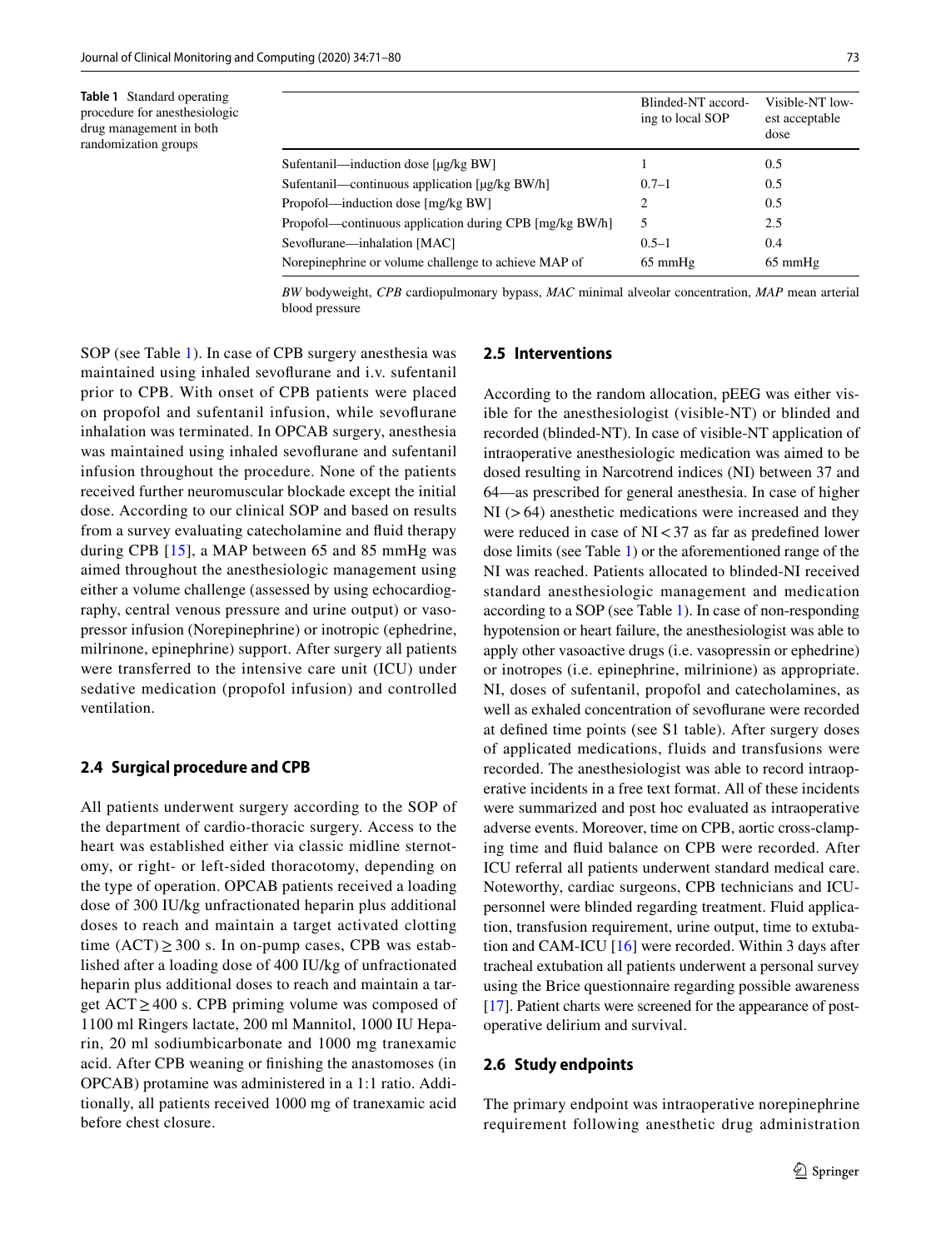<span id="page-3-0"></span>**Table 1** Standard operating procedure for anesthesiologic drug management in both randomization groups

|                                                         | Blinded-NT accord-<br>ing to local SOP | Visible-NT low-<br>est acceptable<br>dose |
|---------------------------------------------------------|----------------------------------------|-------------------------------------------|
| Sufentanil—induction dose [µg/kg BW]                    |                                        | 0.5                                       |
| Sufentanil—continuous application [µg/kg BW/h]          | $0.7 - 1$                              | 0.5                                       |
| Propofol—induction dose [mg/kg BW]                      | 2                                      | 0.5                                       |
| Propofol—continuous application during CPB [mg/kg BW/h] | 5                                      | 2.5                                       |
| Sevoflurane—inhalation [MAC]                            | $0.5 - 1$                              | 0.4                                       |
| Norepinephrine or volume challenge to achieve MAP of    | $65 \text{ mmHg}$                      | $65 \text{ mmHg}$                         |

*BW* bodyweight, *CPB* cardiopulmonary bypass, *MAC* minimal alveolar concentration, *MAP* mean arterial blood pressure

SOP (see Table [1](#page-3-0)). In case of CPB surgery anesthesia was maintained using inhaled sevofurane and i.v. sufentanil prior to CPB. With onset of CPB patients were placed on propofol and sufentanil infusion, while sevofurane inhalation was terminated. In OPCAB surgery, anesthesia was maintained using inhaled sevofurane and sufentanil infusion throughout the procedure. None of the patients received further neuromuscular blockade except the initial dose. According to our clinical SOP and based on results from a survey evaluating catecholamine and fuid therapy during CPB [\[15\]](#page-10-11), a MAP between 65 and 85 mmHg was aimed throughout the anesthesiologic management using either a volume challenge (assessed by using echocardiography, central venous pressure and urine output) or vasopressor infusion (Norepinephrine) or inotropic (ephedrine, milrinone, epinephrine) support. After surgery all patients were transferred to the intensive care unit (ICU) under sedative medication (propofol infusion) and controlled ventilation.

#### **2.4 Surgical procedure and CPB**

All patients underwent surgery according to the SOP of the department of cardio-thoracic surgery. Access to the heart was established either via classic midline sternotomy, or right- or left-sided thoracotomy, depending on the type of operation. OPCAB patients received a loading dose of 300 IU/kg unfractionated heparin plus additional doses to reach and maintain a target activated clotting time  $(ACT) \geq 300$  s. In on-pump cases, CPB was established after a loading dose of 400 IU/kg of unfractionated heparin plus additional doses to reach and maintain a target ACT≥400 s. CPB priming volume was composed of 1100 ml Ringers lactate, 200 ml Mannitol, 1000 IU Heparin, 20 ml sodiumbicarbonate and 1000 mg tranexamic acid. After CPB weaning or fnishing the anastomoses (in OPCAB) protamine was administered in a 1:1 ratio. Additionally, all patients received 1000 mg of tranexamic acid before chest closure.

# **2.5 Interventions**

According to the random allocation, pEEG was either visible for the anesthesiologist (visible-NT) or blinded and recorded (blinded-NT). In case of visible-NT application of intraoperative anesthesiologic medication was aimed to be dosed resulting in Narcotrend indices (NI) between 37 and 64—as prescribed for general anesthesia. In case of higher  $NI$  ( $>64$ ) anesthetic medications were increased and they were reduced in case of  $NI < 37$  as far as predefined lower dose limits (see Table [1\)](#page-3-0) or the aforementioned range of the NI was reached. Patients allocated to blinded-NI received standard anesthesiologic management and medication according to a SOP (see Table [1\)](#page-3-0). In case of non-responding hypotension or heart failure, the anesthesiologist was able to apply other vasoactive drugs (i.e. vasopressin or ephedrine) or inotropes (i.e. epinephrine, milrinione) as appropriate. NI, doses of sufentanil, propofol and catecholamines, as well as exhaled concentration of sevofurane were recorded at defned time points (see S1 table). After surgery doses of applicated medications, fluids and transfusions were recorded. The anesthesiologist was able to record intraoperative incidents in a free text format. All of these incidents were summarized and post hoc evaluated as intraoperative adverse events. Moreover, time on CPB, aortic cross-clamping time and fuid balance on CPB were recorded. After ICU referral all patients underwent standard medical care. Noteworthy, cardiac surgeons, CPB technicians and ICUpersonnel were blinded regarding treatment. Fluid application, transfusion requirement, urine output, time to extubation and CAM-ICU [\[16](#page-10-12)] were recorded. Within 3 days after tracheal extubation all patients underwent a personal survey using the Brice questionnaire regarding possible awareness [\[17](#page-10-13)]. Patient charts were screened for the appearance of postoperative delirium and survival.

## **2.6 Study endpoints**

The primary endpoint was intraoperative norepinephrine requirement following anesthetic drug administration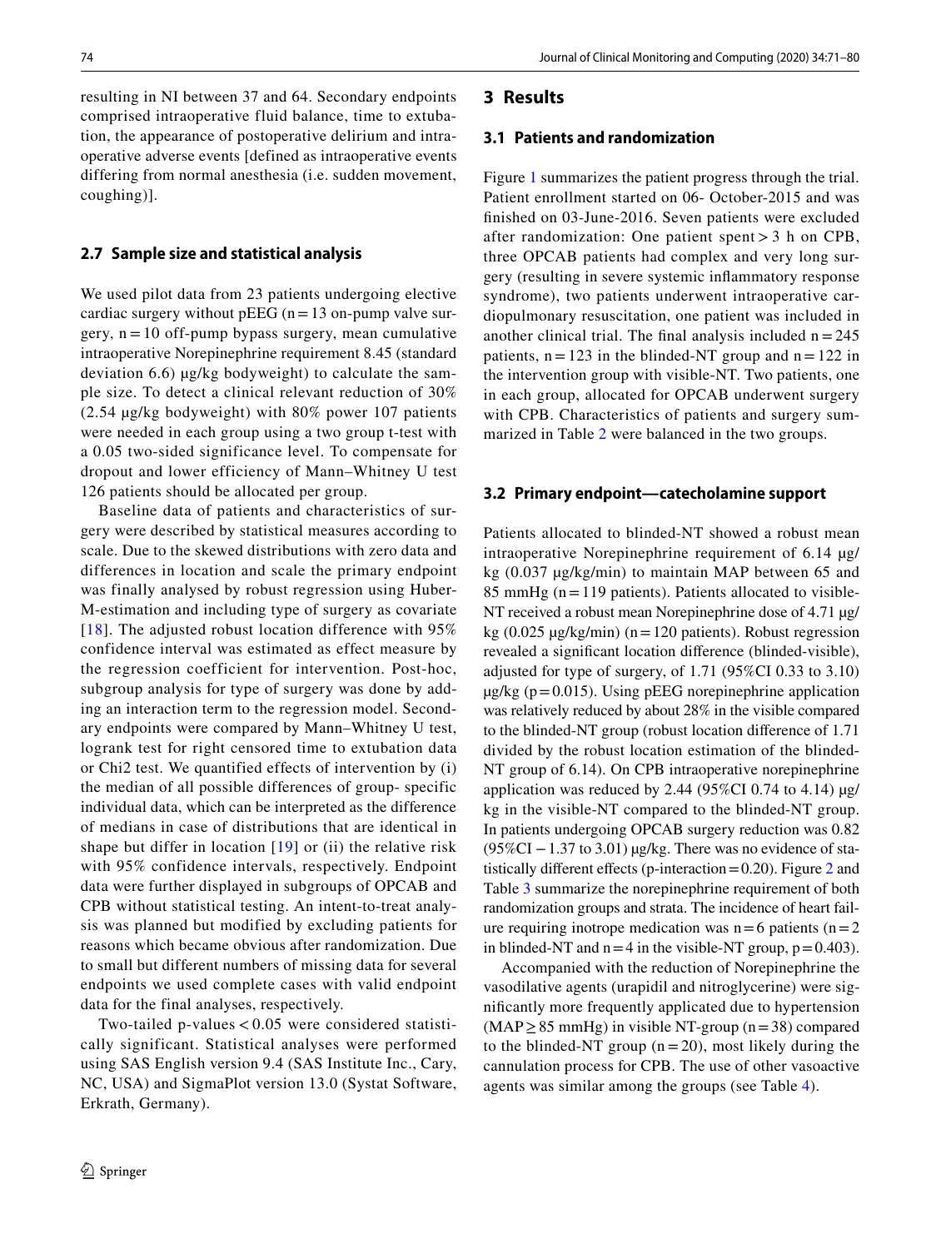resulting in NI between 37 and 64. Secondary endpoints comprised intraoperative fluid balance, time to extubation, the appearance of postoperative delirium and intraoperative adverse events [defined as intraoperative events differing from normal anesthesia (i.e. sudden movement, coughing)].

## **2.7 Sample size and statistical analysis**

We used pilot data from 23 patients undergoing elective cardiac surgery without pEEG  $(n=13 \text{ on-pump value})$ gery,  $n = 10$  off-pump bypass surgery, mean cumulative intraoperative Norepinephrine requirement 8.45 (standard deviation 6.6) µg/kg bodyweight) to calculate the sample size. To detect a clinical relevant reduction of 30% (2.54 µg/kg bodyweight) with 80% power 107 patients were needed in each group using a two group t-test with a 0.05 two-sided significance level. To compensate for dropout and lower efficiency of Mann–Whitney U test 126 patients should be allocated per group.

Baseline data of patients and characteristics of surgery were described by statistical measures according to scale. Due to the skewed distributions with zero data and differences in location and scale the primary endpoint was finally analysed by robust regression using Huber-M-estimation and including type of surgery as covariate [[18](#page-10-14)]. The adjusted robust location difference with  $95\%$ confidence interval was estimated as effect measure by the regression coefficient for intervention. Post-hoc, subgroup analysis for type of surgery was done by adding an interaction term to the regression model. Secondary endpoints were compared by Mann–Whitney U test, logrank test for right censored time to extubation data or Chi2 test. We quantified effects of intervention by (i) the median of all possible differences of group- specific individual data, which can be interpreted as the difference of medians in case of distributions that are identical in shape but differ in location  $[19]$  $[19]$  or (ii) the relative risk with 95% confidence intervals, respectively. Endpoint data were further displayed in subgroups of OPCAB and CPB without statistical testing. An intent-to-treat analysis was planned but modified by excluding patients for reasons which became obvious after randomization. Due to small but different numbers of missing data for several endpoints we used complete cases with valid endpoint data for the final analyses, respectively.

Two-tailed p-values  $< 0.05$  were considered statistically significant. Statistical analyses were performed using SAS English version 9.4 (SAS Institute Inc., Cary, NC, USA) and SigmaPlot version 13.0 (Systat Software, Erkrath, Germany).

#### **3 Results**

#### **3.1 Patients and randomization**

Figure [1](#page-5-0) summarizes the patient progress through the trial. Patient enrollment started on 06- October-2015 and was fnished on 03-June-2016. Seven patients were excluded after randomization: One patient spent > 3 h on CPB, three OPCAB patients had complex and very long surgery (resulting in severe systemic infammatory response syndrome), two patients underwent intraoperative cardiopulmonary resuscitation, one patient was included in another clinical trial. The final analysis included  $n = 245$ patients,  $n=123$  in the blinded-NT group and  $n=122$  in the intervention group with visible-NT. Two patients, one in each group, allocated for OPCAB underwent surgery with CPB. Characteristics of patients and surgery summarized in Table [2](#page-6-0) were balanced in the two groups.

#### **3.2 Primary endpoint—catecholamine support**

Patients allocated to blinded-NT showed a robust mean intraoperative Norepinephrine requirement of 6.14 µg/ kg (0.037 µg/kg/min) to maintain MAP between 65 and 85 mmHg ( $n=119$  patients). Patients allocated to visible-NT received a robust mean Norepinephrine dose of 4.71 µg/ kg (0.025  $\mu$ g/kg/min) (n=120 patients). Robust regression revealed a signifcant location diference (blinded-visible), adjusted for type of surgery, of 1.71 (95%CI 0.33 to 3.10)  $\mu$ g/kg (p=0.015). Using pEEG norepinephrine application was relatively reduced by about 28% in the visible compared to the blinded-NT group (robust location diference of 1.71 divided by the robust location estimation of the blinded-NT group of 6.14). On CPB intraoperative norepinephrine application was reduced by 2.44 (95%CI 0.74 to 4.14)  $\mu$ g/ kg in the visible-NT compared to the blinded-NT group. In patients undergoing OPCAB surgery reduction was 0.82  $(95\%CI - 1.37$  to 3.01) µg/kg. There was no evidence of statistically different effects (p-interaction =  $0.20$ ). Figure [2](#page-7-0) and Table [3](#page-7-1) summarize the norepinephrine requirement of both randomization groups and strata. The incidence of heart failure requiring inotrope medication was  $n=6$  patients ( $n=2$ ) in blinded-NT and  $n=4$  in the visible-NT group,  $p=0.403$ ).

Accompanied with the reduction of Norepinephrine the vasodilative agents (urapidil and nitroglycerine) were signifcantly more frequently applicated due to hypertension  $(MAP \geq 85$  mmHg) in visible NT-group (n = 38) compared to the blinded-NT group  $(n=20)$ , most likely during the cannulation process for CPB. The use of other vasoactive agents was similar among the groups (see Table [4](#page-8-0)).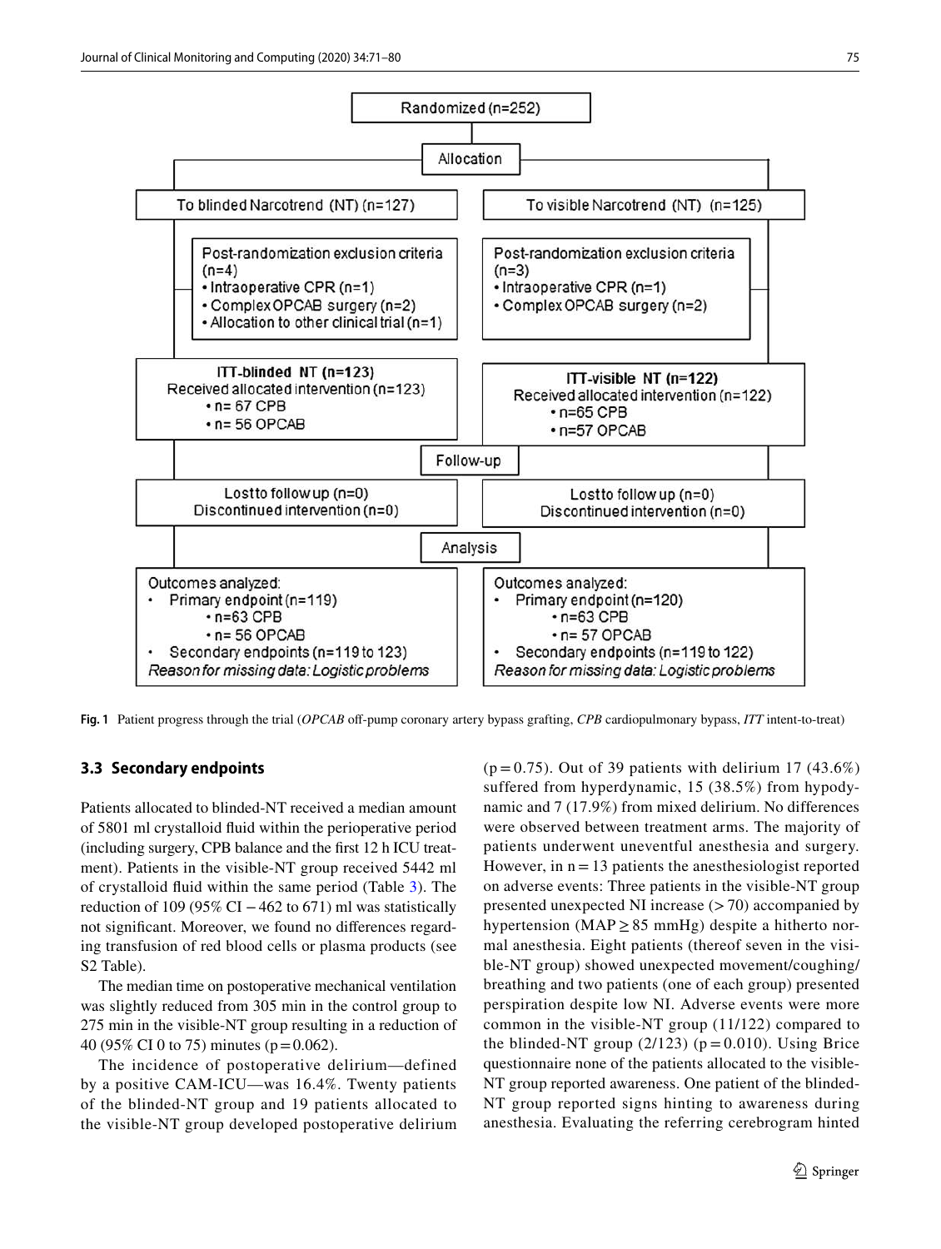

<span id="page-5-0"></span>**Fig. 1** Patient progress through the trial (*OPCAB* off-pump coronary artery bypass grafting, *CPB* cardiopulmonary bypass, *ITT* intent-to-treat)

#### **3.3 Secondary endpoints**

Patients allocated to blinded-NT received a median amount of 5801 ml crystalloid fuid within the perioperative period (including surgery, CPB balance and the frst 12 h ICU treatment). Patients in the visible-NT group received 5442 ml of crystalloid fuid within the same period (Table [3](#page-7-1)). The reduction of 109 (95% CI  $-462$  to 671) ml was statistically not signifcant. Moreover, we found no diferences regarding transfusion of red blood cells or plasma products (see S2 Table).

The median time on postoperative mechanical ventilation was slightly reduced from 305 min in the control group to 275 min in the visible-NT group resulting in a reduction of 40 (95% CI 0 to 75) minutes (p=0.062).

The incidence of postoperative delirium—defined by a positive CAM-ICU—was 16.4%. Twenty patients of the blinded-NT group and 19 patients allocated to the visible-NT group developed postoperative delirium  $(p=0.75)$ . Out of 39 patients with delirium 17 (43.6%) suffered from hyperdynamic, 15 (38.5%) from hypodynamic and 7 (17.9%) from mixed delirium. No differences were observed between treatment arms. The majority of patients underwent uneventful anesthesia and surgery. However, in  $n = 13$  patients the anesthesiologist reported on adverse events: Three patients in the visible-NT group presented unexpected NI increase  $(>70)$  accompanied by hypertension (MAP  $\geq$  85 mmHg) despite a hitherto normal anesthesia. Eight patients (thereof seven in the visible-NT group) showed unexpected movement/coughing/ breathing and two patients (one of each group) presented perspiration despite low NI. Adverse events were more common in the visible-NT group (11/122) compared to the blinded-NT group  $(2/123)$  ( $p = 0.010$ ). Using Brice questionnaire none of the patients allocated to the visible-NT group reported awareness. One patient of the blinded-NT group reported signs hinting to awareness during anesthesia. Evaluating the referring cerebrogram hinted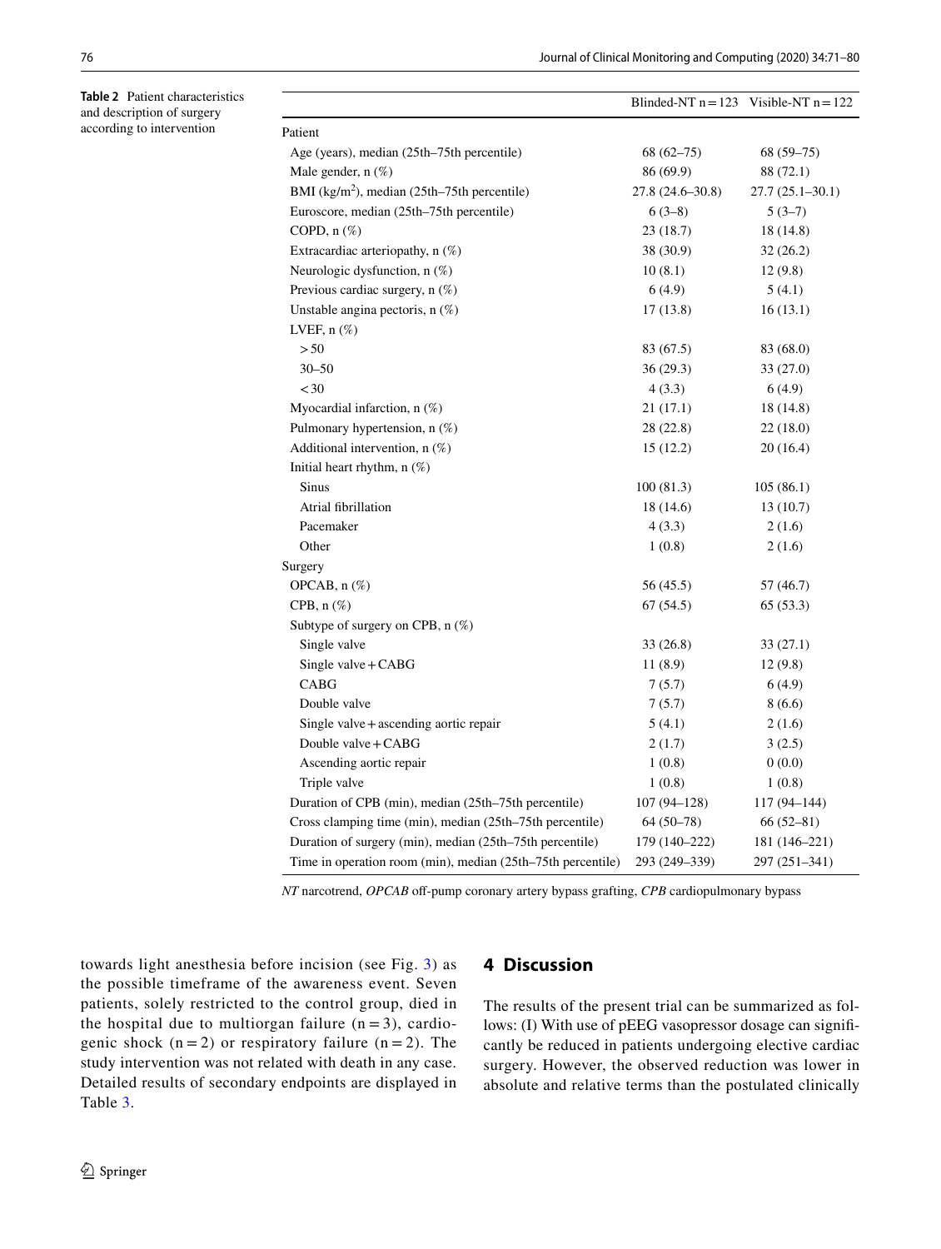<span id="page-6-0"></span>**Table 2** Patient characteristics and description of surgery according to intervention

|                                                             | Blinded-NT $n = 123$ Visible-NT $n = 122$ |                     |
|-------------------------------------------------------------|-------------------------------------------|---------------------|
| Patient                                                     |                                           |                     |
| Age (years), median (25th–75th percentile)                  | $68(62 - 75)$                             | $68(59-75)$         |
| Male gender, $n(\%)$                                        | 86 (69.9)                                 | 88 (72.1)           |
| BMI (kg/m <sup>2</sup> ), median (25th–75th percentile)     | 27.8 (24.6–30.8)                          | $27.7(25.1 - 30.1)$ |
| Euroscore, median (25th-75th percentile)                    | $6(3-8)$                                  | $5(3-7)$            |
| COPD, $n$ $(\%)$                                            | 23(18.7)                                  | 18 (14.8)           |
| Extracardiac arteriopathy, n (%)                            | 38 (30.9)                                 | 32(26.2)            |
| Neurologic dysfunction, n (%)                               | 10(8.1)                                   | 12(9.8)             |
| Previous cardiac surgery, n (%)                             | 6(4.9)                                    | 5(4.1)              |
| Unstable angina pectoris, $n$ (%)                           | 17(13.8)                                  | 16(13.1)            |
| LVEF, $n$ $(\%)$                                            |                                           |                     |
| > 50                                                        | 83 (67.5)                                 | 83 (68.0)           |
| $30 - 50$                                                   | 36(29.3)                                  | 33(27.0)            |
| < 30                                                        | 4(3.3)                                    | 6(4.9)              |
| Myocardial infarction, $n$ (%)                              | 21(17.1)                                  | 18 (14.8)           |
| Pulmonary hypertension, $n$ (%)                             | 28 (22.8)                                 | 22(18.0)            |
| Additional intervention, $n$ (%)                            | 15(12.2)                                  | 20(16.4)            |
| Initial heart rhythm, $n$ $(\%)$                            |                                           |                     |
| <b>Sinus</b>                                                | 100(81.3)                                 | 105(86.1)           |
| Atrial fibrillation                                         | 18 (14.6)                                 | 13(10.7)            |
| Pacemaker                                                   | 4(3.3)                                    | 2(1.6)              |
| Other                                                       | 1(0.8)                                    | 2(1.6)              |
| Surgery                                                     |                                           |                     |
| OPCAB, n (%)                                                | 56 (45.5)                                 | 57 (46.7)           |
| CPB, $n$ $(\%)$                                             | 67(54.5)                                  | 65(53.3)            |
| Subtype of surgery on CPB, n (%)                            |                                           |                     |
| Single valve                                                | 33 (26.8)                                 | 33 (27.1)           |
| Single valve + CABG                                         | 11(8.9)                                   | 12(9.8)             |
| CABG                                                        | 7(5.7)                                    | 6(4.9)              |
| Double valve                                                | 7(5.7)                                    | 8(6.6)              |
| Single valve $+$ ascending aortic repair                    | 5(4.1)                                    | 2(1.6)              |
| Double valve + CABG                                         | 2(1.7)                                    | 3(2.5)              |
| Ascending aortic repair                                     | 1(0.8)                                    | 0(0.0)              |
| Triple valve                                                | 1(0.8)                                    | 1(0.8)              |
| Duration of CPB (min), median (25th-75th percentile)        | $107(94 - 128)$                           | 117 (94-144)        |
| Cross clamping time (min), median (25th-75th percentile)    | $64(50-78)$                               | $66(52-81)$         |
| Duration of surgery (min), median (25th-75th percentile)    | 179 (140-222)                             | 181 (146–221)       |
| Time in operation room (min), median (25th-75th percentile) | 293 (249-339)                             | 297 (251-341)       |

*NT* narcotrend, *OPCAB* off-pump coronary artery bypass grafting, *CPB* cardiopulmonary bypass

towards light anesthesia before incision (see Fig. [3\)](#page-8-1) as the possible timeframe of the awareness event. Seven patients, solely restricted to the control group, died in the hospital due to multiorgan failure  $(n = 3)$ , cardiogenic shock  $(n = 2)$  or respiratory failure  $(n = 2)$ . The study intervention was not related with death in any case. Detailed results of secondary endpoints are displayed in Table [3.](#page-7-1)

# **4 Discussion**

The results of the present trial can be summarized as follows: (I) With use of pEEG vasopressor dosage can signifcantly be reduced in patients undergoing elective cardiac surgery. However, the observed reduction was lower in absolute and relative terms than the postulated clinically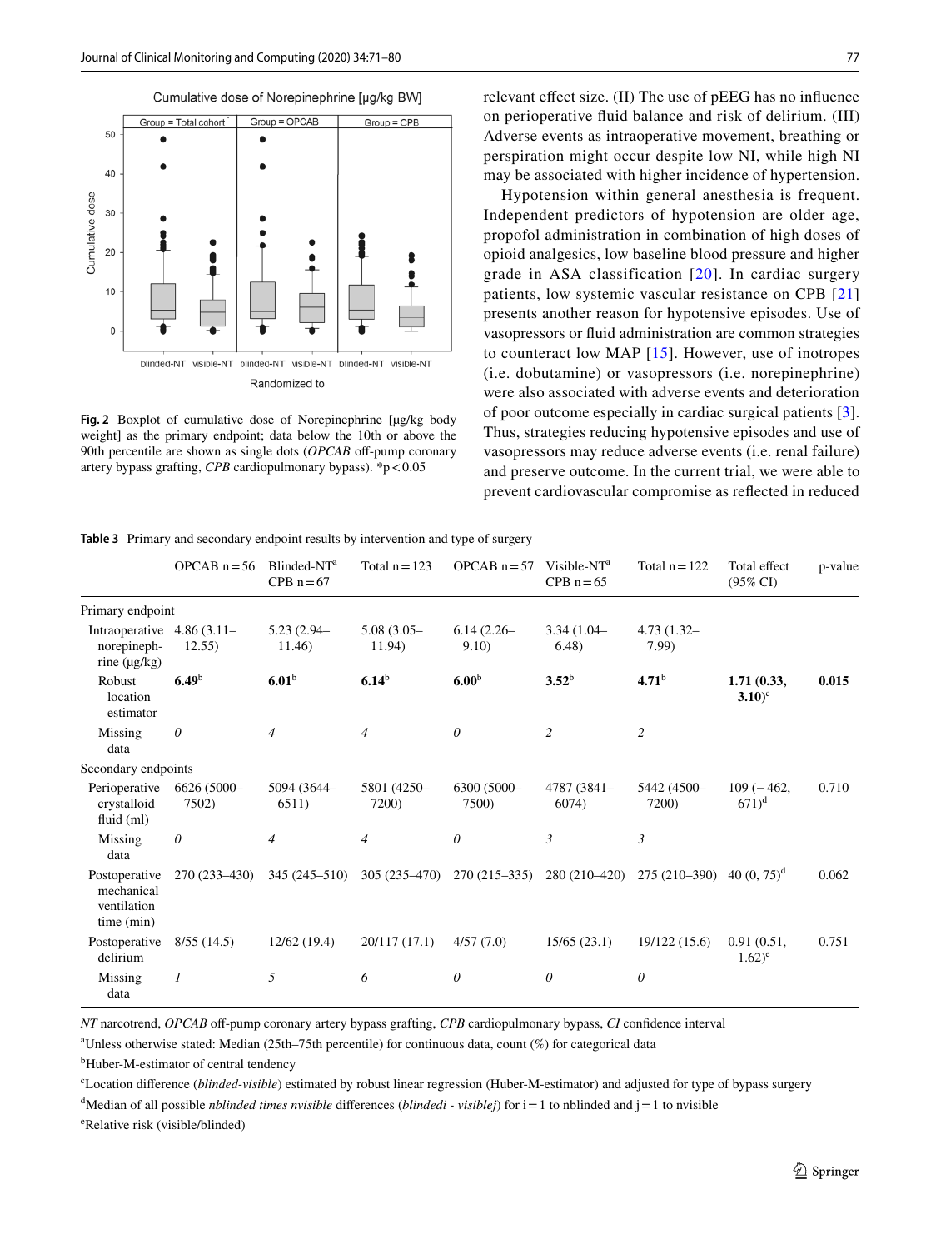

<span id="page-7-0"></span>**Fig. 2** Boxplot of cumulative dose of Norepinephrine [µg/kg body weight] as the primary endpoint; data below the 10th or above the 90th percentile are shown as single dots (*OPCAB* off-pump coronary artery bypass grafting, *CPB* cardiopulmonary bypass). \*p<0.05

relevant efect size. (II) The use of pEEG has no infuence on perioperative fuid balance and risk of delirium. (III) Adverse events as intraoperative movement, breathing or perspiration might occur despite low NI, while high NI may be associated with higher incidence of hypertension.

Hypotension within general anesthesia is frequent. Independent predictors of hypotension are older age, propofol administration in combination of high doses of opioid analgesics, low baseline blood pressure and higher grade in ASA classification [[20](#page-10-16)]. In cardiac surgery patients, low systemic vascular resistance on CPB [\[21\]](#page-10-17) presents another reason for hypotensive episodes. Use of vasopressors or fuid administration are common strategies to counteract low MAP [[15](#page-10-11)]. However, use of inotropes (i.e. dobutamine) or vasopressors (i.e. norepinephrine) were also associated with adverse events and deterioration of poor outcome especially in cardiac surgical patients [\[3](#page-9-2)]. Thus, strategies reducing hypotensive episodes and use of vasopressors may reduce adverse events (i.e. renal failure) and preserve outcome. In the current trial, we were able to prevent cardiovascular compromise as refected in reduced

<span id="page-7-1"></span>**Table 3** Primary and secondary endpoint results by intervention and type of surgery

|                                                          | OPCAB $n = 56$       | Blinded-NT <sup>a</sup><br>$CPB n = 67$ | Total $n = 123$         | OPCAB $n = 57$       | Visible-NT <sup>a</sup><br>CPB $n=65$ | Total $n = 122$                       | Total effect<br>$(95\% \text{ CI})$ | p-value |
|----------------------------------------------------------|----------------------|-----------------------------------------|-------------------------|----------------------|---------------------------------------|---------------------------------------|-------------------------------------|---------|
| Primary endpoint                                         |                      |                                         |                         |                      |                                       |                                       |                                     |         |
| Intraoperative<br>norepineph-<br>rine $(\mu g/kg)$       | 4.86(3.11)<br>12.55) | $5.23(2.94 -$<br>11.46)                 | $5.08(3.05 -$<br>11.94) | $6.14(2.26-$<br>9.10 | $3.34(1.04 -$<br>6.48)                | $4.73(1.32 -$<br>7.99                 |                                     |         |
| Robust<br>location<br>estimator                          | 6.49 <sup>b</sup>    | 6.01 <sup>b</sup>                       | $6.14^b$                | 6.00 <sup>b</sup>    | $3.52^b$                              | 4.71 <sup>b</sup>                     | 1.71(0.33,<br>$3.10$ <sup>c</sup>   | 0.015   |
| Missing<br>data                                          | $\theta$             | $\overline{4}$                          | $\overline{4}$          | $\theta$             | $\overline{c}$                        | $\overline{c}$                        |                                     |         |
| Secondary endpoints                                      |                      |                                         |                         |                      |                                       |                                       |                                     |         |
| Perioperative<br>crystalloid<br>fluid (ml)               | 6626 (5000-<br>7502) | 5094 (3644-<br>6511)                    | 5801 (4250-<br>7200)    | 6300 (5000-<br>7500) | 4787 (3841-<br>6074)                  | 5442 (4500-<br>7200)                  | $109(-462,$<br>$671)^d$             | 0.710   |
| Missing<br>data                                          | $\theta$             | 4                                       | $\overline{4}$          | 0                    | 3                                     | 3                                     |                                     |         |
| Postoperative<br>mechanical<br>ventilation<br>time (min) | $270(233 - 430)$     | $345(245-510)$                          | $305(235-470)$          | $270(215-335)$       | 280 (210-420)                         | 275 (210–390) 40 (0, 75) <sup>d</sup> |                                     | 0.062   |
| Postoperative<br>delirium                                | 8/55(14.5)           | 12/62(19.4)                             | 20/117 (17.1)           | 4/57(7.0)            | 15/65(23.1)                           | 19/122(15.6)                          | 0.91(0.51,<br>$(1.62)^e$            | 0.751   |
| Missing<br>data                                          | $\boldsymbol{l}$     | 5                                       | 6                       | 0                    | $\theta$                              | 0                                     |                                     |         |

*NT* narcotrend, *OPCAB* of-pump coronary artery bypass grafting, *CPB* cardiopulmonary bypass, *CI* confdence interval

a Unless otherwise stated: Median (25th–75th percentile) for continuous data, count (%) for categorical data

<sup>b</sup>Huber-M-estimator of central tendency

c Location diference (*blinded-visible*) estimated by robust linear regression (Huber-M-estimator) and adjusted for type of bypass surgery

d Median of all possible *nblinded times nvisible* diferences (*blindedi - visiblej*) for i=1 to nblinded and j=1 to nvisible

e Relative risk (visible/blinded)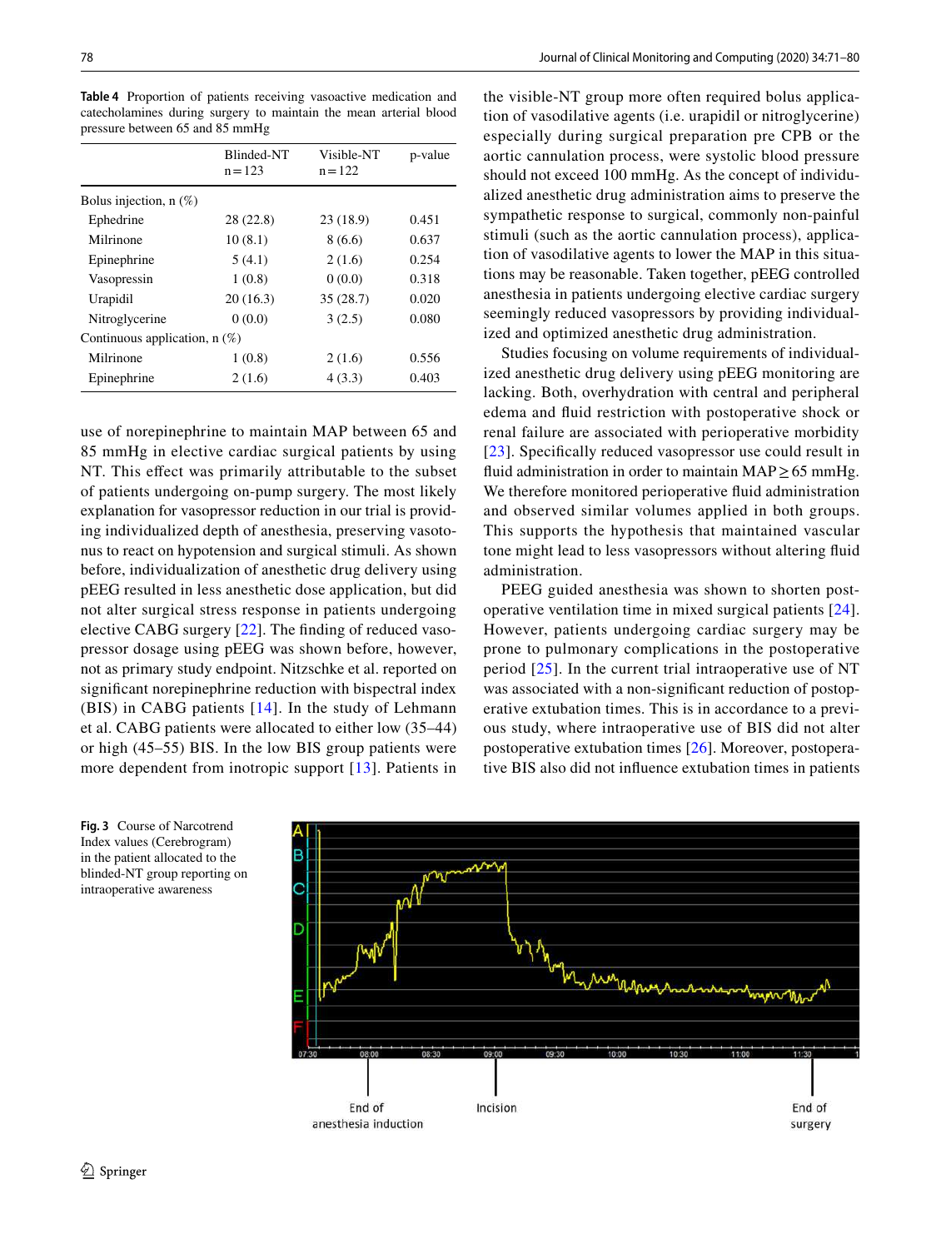78 Journal of Clinical Monitoring and Computing (2020) 34:71–80

| cate cholamines during surgery to maintain the mean arterial blood<br>pressure between 65 and 85 mmHg |                         |                         |         |  |
|-------------------------------------------------------------------------------------------------------|-------------------------|-------------------------|---------|--|
|                                                                                                       | Blinded-NT<br>$n = 123$ | Visible-NT<br>$n = 122$ | p-value |  |
| Bolus injection, $n$ (%)                                                                              |                         |                         |         |  |
| Ephedrine                                                                                             | 28(22.8)                | 23(18.9)                | 0.451   |  |
| Milrinono                                                                                             | 10(01)                  | Q(66)                   | 0.627   |  |

<span id="page-8-0"></span>**Table 4** Proportion of patients receiving vasoactive medication and catecholamines during surgery to maintain the mean arterial blood

|                                 | $n = 123$ | $n = 122$ |       |  |  |  |
|---------------------------------|-----------|-----------|-------|--|--|--|
| Bolus injection, $n$ $(\%)$     |           |           |       |  |  |  |
| Ephedrine                       | 28 (22.8) | 23(18.9)  | 0.451 |  |  |  |
| Milrinone                       | 10(8.1)   | 8(6.6)    | 0.637 |  |  |  |
| Epinephrine                     | 5(4.1)    | 2(1.6)    | 0.254 |  |  |  |
| Vasopressin                     | 1(0.8)    | 0(0.0)    | 0.318 |  |  |  |
| Urapidil                        | 20(16.3)  | 35(28.7)  | 0.020 |  |  |  |
| Nitroglycerine                  | 0(0.0)    | 3(2.5)    | 0.080 |  |  |  |
| Continuous application, $n(\%)$ |           |           |       |  |  |  |
| Milrinone                       | 1(0.8)    | 2(1.6)    | 0.556 |  |  |  |
| Epinephrine                     | 2(1.6)    | 4(3.3)    | 0.403 |  |  |  |

use of norepinephrine to maintain MAP between 65 and 85 mmHg in elective cardiac surgical patients by using NT. This effect was primarily attributable to the subset of patients undergoing on-pump surgery. The most likely explanation for vasopressor reduction in our trial is providing individualized depth of anesthesia, preserving vasotonus to react on hypotension and surgical stimuli. As shown before, individualization of anesthetic drug delivery using pEEG resulted in less anesthetic dose application, but did not alter surgical stress response in patients undergoing elective CABG surgery [[22\]](#page-10-18). The fnding of reduced vasopressor dosage using pEEG was shown before, however, not as primary study endpoint. Nitzschke et al. reported on signifcant norepinephrine reduction with bispectral index (BIS) in CABG patients [[14\]](#page-10-10). In the study of Lehmann et al. CABG patients were allocated to either low (35–44) or high (45–55) BIS. In the low BIS group patients were more dependent from inotropic support [[13](#page-10-9)]. Patients in the visible-NT group more often required bolus application of vasodilative agents (i.e. urapidil or nitroglycerine) especially during surgical preparation pre CPB or the aortic cannulation process, were systolic blood pressure should not exceed 100 mmHg. As the concept of individualized anesthetic drug administration aims to preserve the sympathetic response to surgical, commonly non-painful stimuli (such as the aortic cannulation process), application of vasodilative agents to lower the MAP in this situations may be reasonable. Taken together, pEEG controlled anesthesia in patients undergoing elective cardiac surgery seemingly reduced vasopressors by providing individualized and optimized anesthetic drug administration.

Studies focusing on volume requirements of individualized anesthetic drug delivery using pEEG monitoring are lacking. Both, overhydration with central and peripheral edema and fuid restriction with postoperative shock or renal failure are associated with perioperative morbidity [[23](#page-10-19)]. Specifically reduced vasopressor use could result in fluid administration in order to maintain MAP  $\geq$  65 mmHg. We therefore monitored perioperative fuid administration and observed similar volumes applied in both groups. This supports the hypothesis that maintained vascular tone might lead to less vasopressors without altering fuid administration.

PEEG guided anesthesia was shown to shorten postoperative ventilation time in mixed surgical patients [[24](#page-10-20)]. However, patients undergoing cardiac surgery may be prone to pulmonary complications in the postoperative period [[25](#page-10-21)]. In the current trial intraoperative use of NT was associated with a non-signifcant reduction of postoperative extubation times. This is in accordance to a previous study, where intraoperative use of BIS did not alter postoperative extubation times [[26\]](#page-10-22). Moreover, postoperative BIS also did not infuence extubation times in patients



<span id="page-8-1"></span>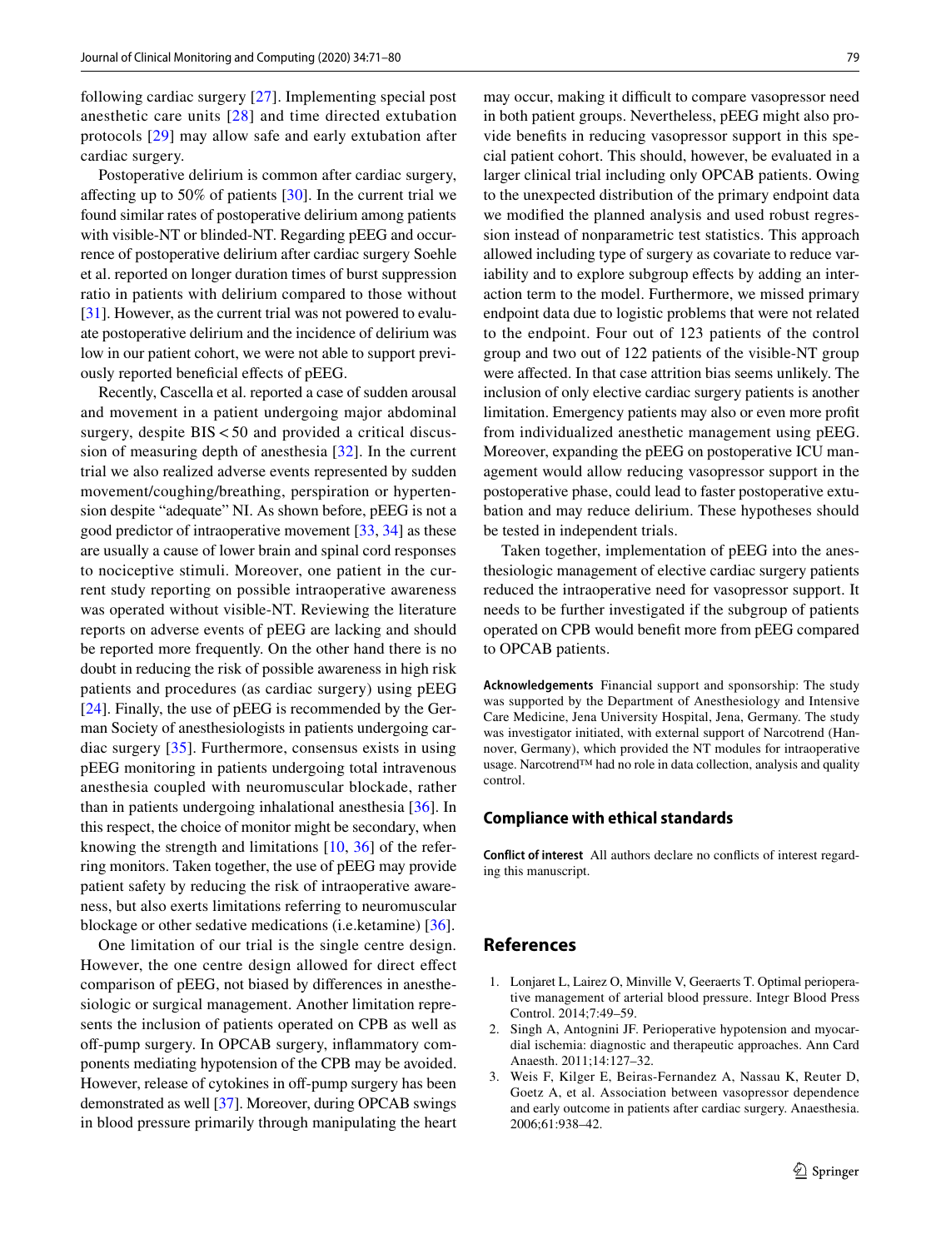following cardiac surgery [[27](#page-10-23)]. Implementing special post anesthetic care units [[28\]](#page-10-24) and time directed extubation protocols [[29](#page-10-25)] may allow safe and early extubation after cardiac surgery.

Postoperative delirium is common after cardiac surgery, afecting up to 50% of patients [[30\]](#page-10-26). In the current trial we found similar rates of postoperative delirium among patients with visible-NT or blinded-NT. Regarding pEEG and occurrence of postoperative delirium after cardiac surgery Soehle et al. reported on longer duration times of burst suppression ratio in patients with delirium compared to those without [\[31](#page-10-27)]. However, as the current trial was not powered to evaluate postoperative delirium and the incidence of delirium was low in our patient cohort, we were not able to support previously reported beneficial effects of pEEG.

Recently, Cascella et al. reported a case of sudden arousal and movement in a patient undergoing major abdominal surgery, despite  $BIS < 50$  and provided a critical discussion of measuring depth of anesthesia [[32\]](#page-10-28). In the current trial we also realized adverse events represented by sudden movement/coughing/breathing, perspiration or hypertension despite "adequate" NI. As shown before, pEEG is not a good predictor of intraoperative movement [\[33](#page-10-29), [34](#page-10-30)] as these are usually a cause of lower brain and spinal cord responses to nociceptive stimuli. Moreover, one patient in the current study reporting on possible intraoperative awareness was operated without visible-NT. Reviewing the literature reports on adverse events of pEEG are lacking and should be reported more frequently. On the other hand there is no doubt in reducing the risk of possible awareness in high risk patients and procedures (as cardiac surgery) using pEEG [\[24\]](#page-10-20). Finally, the use of pEEG is recommended by the German Society of anesthesiologists in patients undergoing cardiac surgery [\[35\]](#page-10-31). Furthermore, consensus exists in using pEEG monitoring in patients undergoing total intravenous anesthesia coupled with neuromuscular blockade, rather than in patients undergoing inhalational anesthesia [\[36](#page-10-32)]. In this respect, the choice of monitor might be secondary, when knowing the strength and limitations [\[10](#page-10-6), [36](#page-10-32)] of the referring monitors. Taken together, the use of pEEG may provide patient safety by reducing the risk of intraoperative awareness, but also exerts limitations referring to neuromuscular blockage or other sedative medications (i.e.ketamine) [\[36](#page-10-32)].

One limitation of our trial is the single centre design. However, the one centre design allowed for direct efect comparison of pEEG, not biased by diferences in anesthesiologic or surgical management. Another limitation represents the inclusion of patients operated on CPB as well as off-pump surgery. In OPCAB surgery, inflammatory components mediating hypotension of the CPB may be avoided. However, release of cytokines in off-pump surgery has been demonstrated as well [\[37](#page-10-33)]. Moreover, during OPCAB swings in blood pressure primarily through manipulating the heart may occur, making it difficult to compare vasopressor need in both patient groups. Nevertheless, pEEG might also provide benefts in reducing vasopressor support in this special patient cohort. This should, however, be evaluated in a larger clinical trial including only OPCAB patients. Owing to the unexpected distribution of the primary endpoint data we modifed the planned analysis and used robust regression instead of nonparametric test statistics. This approach allowed including type of surgery as covariate to reduce variability and to explore subgroup effects by adding an interaction term to the model. Furthermore, we missed primary endpoint data due to logistic problems that were not related to the endpoint. Four out of 123 patients of the control group and two out of 122 patients of the visible-NT group were afected. In that case attrition bias seems unlikely. The inclusion of only elective cardiac surgery patients is another limitation. Emergency patients may also or even more proft from individualized anesthetic management using pEEG. Moreover, expanding the pEEG on postoperative ICU management would allow reducing vasopressor support in the postoperative phase, could lead to faster postoperative extubation and may reduce delirium. These hypotheses should be tested in independent trials.

Taken together, implementation of pEEG into the anesthesiologic management of elective cardiac surgery patients reduced the intraoperative need for vasopressor support. It needs to be further investigated if the subgroup of patients operated on CPB would beneft more from pEEG compared to OPCAB patients.

**Acknowledgements** Financial support and sponsorship: The study was supported by the Department of Anesthesiology and Intensive Care Medicine, Jena University Hospital, Jena, Germany. The study was investigator initiated, with external support of Narcotrend (Hannover, Germany), which provided the NT modules for intraoperative usage. Narcotrend™ had no role in data collection, analysis and quality control.

## **Compliance with ethical standards**

**Conflict of interest** All authors declare no conficts of interest regarding this manuscript.

#### **References**

- <span id="page-9-0"></span>1. Lonjaret L, Lairez O, Minville V, Geeraerts T. Optimal perioperative management of arterial blood pressure. Integr Blood Press Control. 2014;7:49–59.
- <span id="page-9-1"></span>2. Singh A, Antognini JF. Perioperative hypotension and myocardial ischemia: diagnostic and therapeutic approaches. Ann Card Anaesth. 2011;14:127–32.
- <span id="page-9-2"></span>3. Weis F, Kilger E, Beiras-Fernandez A, Nassau K, Reuter D, Goetz A, et al. Association between vasopressor dependence and early outcome in patients after cardiac surgery. Anaesthesia. 2006;61:938–42.